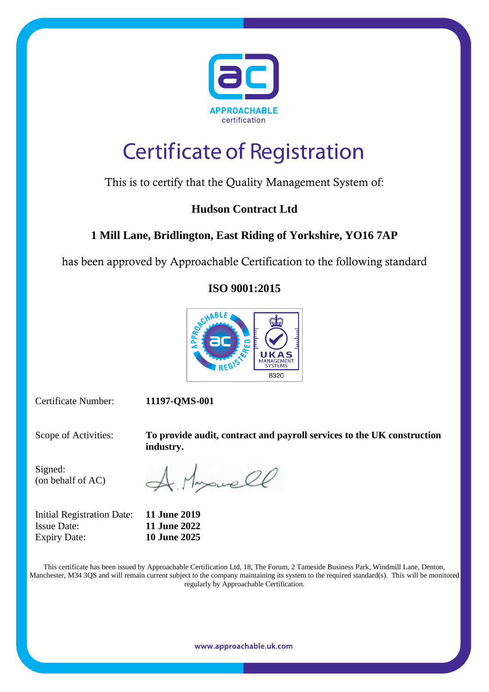

# **Certificate of Registration**

## This is to certify that the Quality Management System of:

### **Hudson Contract Ltd**

## **1 Mill Lane, Bridlington, East Riding of Yorkshire, YO16 7AP**

has been approved by Approachable Certification to the following standard

### **ISO 9001:2015**



Certificate Number: **11197-QMS-001**

Scope of Activities: **To provide audit, contract and payroll services to the UK construction industry.**

Signed: (on behalf of AC)

Initial Registration Date: **11 June 2019** Issue Date: **11 June 2022** Expiry Date: **10 June 2025**

A Myswell

This certificate has been issued by Approachable Certification Ltd, 18, The Forum, 2 Tameside Business Park, Windmill Lane, Denton, Manchester, M34 3QS and will remain current subject to the company maintaining its system to the required standard(s). This will be monitored regularly by Approachable Certification.

www.approachable.uk.com